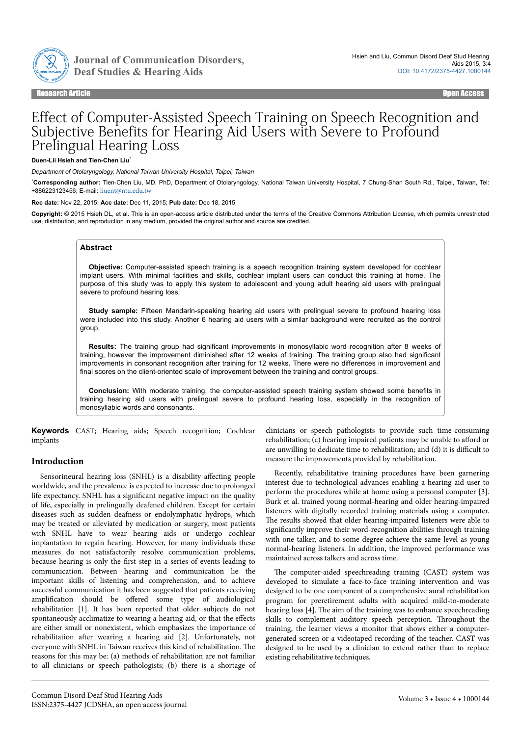

Journal of Communication Disorders,

# Effect of Computer-Assisted Speech Training on Speech Recognition and Subjective Benefits for Hearing Aid Users with Severe to Profound Prelingual Hearing Loss

#### **Duen-Lii Hsieh and Tien-Chen Liu**\*

*Department of Otolaryngology, National Taiwan University Hospital, Taipei, Taiwan*

\***Corresponding author:** Tien-Chen Liu, MD, PhD, Department of Otolaryngology, National Taiwan University Hospital, 7 Chung-Shan South Rd., Taipei, Taiwan, Tel: +886223123456; E-mail: [liuent@ntu.edu.tw](mailto:liuent@ntu.edu.tw)

**Rec date:** Nov 22, 2015; **Acc date:** Dec 11, 2015; **Pub date:** Dec 18, 2015

**Copyright:** © 2015 Hsieh DL, et al. This is an open-access article distributed under the terms of the Creative Commons Attribution License, which permits unrestricted use, distribution, and reproduction in any medium, provided the original author and source are credited.

# **Abstract**

**Objective:** Computer-assisted speech training is a speech recognition training system developed for cochlear implant users. With minimal facilities and skills, cochlear implant users can conduct this training at home. The purpose of this study was to apply this system to adolescent and young adult hearing aid users with prelingual severe to profound hearing loss.

**Study sample:** Fifteen Mandarin-speaking hearing aid users with prelingual severe to profound hearing loss were included into this study. Another 6 hearing aid users with a similar background were recruited as the control group.

**Results:** The training group had significant improvements in monosyllabic word recognition after 8 weeks of training, however the improvement diminished after 12 weeks of training. The training group also had significant improvements in consonant recognition after training for 12 weeks. There were no differences in improvement and final scores on the client-oriented scale of improvement between the training and control groups.

**Conclusion:** With moderate training, the computer-assisted speech training system showed some benefits in training hearing aid users with prelingual severe to profound hearing loss, especially in the recognition of monosyllabic words and consonants.

**Keywords** CAST; Hearing aids; Speech recognition; Cochlear implants

# **Introduction**

Sensorineural hearing loss (SNHL) is a disability affecting people worldwide, and the prevalence is expected to increase due to prolonged life expectancy. SNHL has a significant negative impact on the quality of life, especially in prelingually deafened children. Except for certain diseases such as sudden deafness or endolymphatic hydrops, which may be treated or alleviated by medication or surgery, most patients with SNHL have to wear hearing aids or undergo cochlear implantation to regain hearing. However, for many individuals these measures do not satisfactorily resolve communication problems, because hearing is only the first step in a series of events leading to communication. Between hearing and communication lie the important skills of listening and comprehension, and to achieve successful communication it has been suggested that patients receiving amplification should be offered some type of audiological rehabilitation [1]. It has been reported that older subjects do not spontaneously acclimatize to wearing a hearing aid, or that the effects are either small or nonexistent, which emphasizes the importance of rehabilitation after wearing a hearing aid [2]. Unfortunately, not everyone with SNHL in Taiwan receives this kind of rehabilitation. Нe reasons for this may be: (a) methods of rehabilitation are not familiar to all clinicians or speech pathologists; (b) there is a shortage of

clinicians or speech pathologists to provide such time-consuming rehabilitation;  $(c)$  hearing impaired patients may be unable to afford or are unwilling to dedicate time to rehabilitation; and (d) it is difficult to measure the improvements provided by rehabilitation.

Recently, rehabilitative training procedures have been garnering interest due to technological advances enabling a hearing aid user to perform the procedures while at home using a personal computer [3]. Burk et al. trained young normal-hearing and older hearing-impaired listeners with digitally recorded training materials using a computer. The results showed that older hearing-impaired listeners were able to significantly improve their word-recognition abilities through training with one talker, and to some degree achieve the same level as young normal-hearing listeners. In addition, the improved performance was maintained across talkers and across time.

The computer-aided speechreading training (CAST) system was developed to simulate a face-to-face training intervention and was designed to be one component of a comprehensive aural rehabilitation program for preretirement adults with acquired mild-to-moderate hearing loss [4]. Нe aim of the training was to enhance speechreading skills to complement auditory speech perception. Нroughout the training, the learner views a monitor that shows either a computergenerated screen or a videotaped recording of the teacher. CAST was designed to be used by a clinician to extend rather than to replace existing rehabilitative techniques.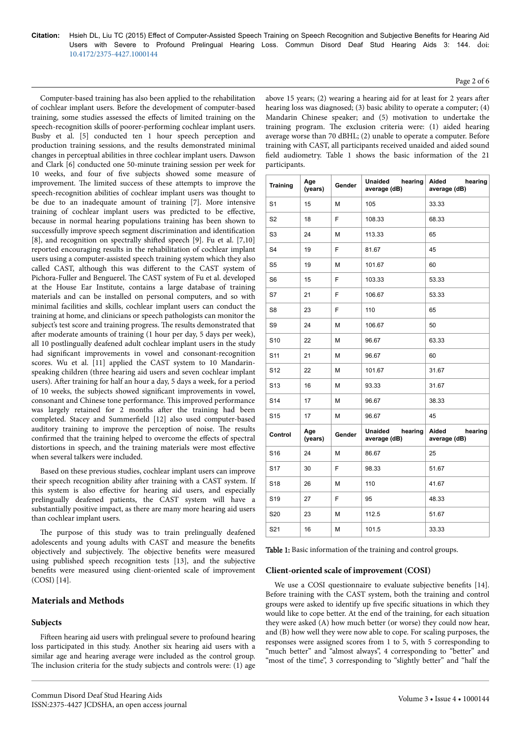Computer-based training has also been applied to the rehabilitation of cochlear implant users. Before the development of computer-based training, some studies assessed the effects of limited training on the speech-recognition skills of poorer-performing cochlear implant users. Busby et al. [5] conducted ten 1 hour speech perception and production training sessions, and the results demonstrated minimal changes in perceptual abilities in three cochlear implant users. Dawson and Clark [6] conducted one 50-minute training session per week for 10 weeks, and four of five subjects showed some measure of improvement. Нe limited success of these attempts to improve the speech-recognition abilities of cochlear implant users was thought to be due to an inadequate amount of training [7]. More intensive training of cochlear implant users was predicted to be effective, because in normal hearing populations training has been shown to successfully improve speech segment discrimination and identification [8], and recognition on spectrally shifted speech [9]. Fu et al. [7,10] reported encouraging results in the rehabilitation of cochlear implant users using a computer-assisted speech training system which they also called CAST, although this was different to the CAST system of Pichora-Fuller and Benguerel. Нe CAST system of Fu et al. developed at the House Ear Institute, contains a large database of training materials and can be installed on personal computers, and so with minimal facilities and skills, cochlear implant users can conduct the training at home, and clinicians or speech pathologists can monitor the subject's test score and training progress. Нe results demonstrated that after moderate amounts of training (1 hour per day, 5 days per week), all 10 postlingually deafened adult cochlear implant users in the study had significant improvements in vowel and consonant-recognition scores. Wu et al. [11] applied the CAST system to 10 Mandarinspeaking children (three hearing aid users and seven cochlear implant users). After training for half an hour a day, 5 days a week, for a period of 10 weeks, the subjects showed significant improvements in vowel, consonant and Chinese tone performance. Нis improved performance was largely retained for 2 months after the training had been completed. Stacey and Summerfield [12] also used computer-based auditory training to improve the perception of noise. Нe results confirmed that the training helped to overcome the effects of spectral distortions in speech, and the training materials were most effective when several talkers were included.

Based on these previous studies, cochlear implant users can improve their speech recognition ability after training with a CAST system. If this system is also effective for hearing aid users, and especially prelingually deafened patients, the CAST system will have a substantially positive impact, as there are many more hearing aid users than cochlear implant users.

The purpose of this study was to train prelingually deafened adolescents and young adults with CAST and measure the benefits objectively and subjectively. Нe objective benefits were measured using published speech recognition tests [13], and the subjective benefits were measured using client-oriented scale of improvement (COSI) [14].

# **Materials and Methods**

# **Subjects**

Fifteen hearing aid users with prelingual severe to profound hearing loss participated in this study. Another six hearing aid users with a similar age and hearing average were included as the control group. The inclusion criteria for the study subjects and controls were: (1) age above 15 years; (2) wearing a hearing aid for at least for 2 years after hearing loss was diagnosed; (3) basic ability to operate a computer; (4) Mandarin Chinese speaker; and (5) motivation to undertake the training program. Нe exclusion criteria were: (1) aided hearing average worse than 70 dBHL; (2) unable to operate a computer. Before training with CAST, all participants received unaided and aided sound field audiometry. Table 1 shows the basic information of the 21 participants.

| <b>Training</b> | Age<br>(years) | Gender | hearing<br>Unaided<br>average (dB) | Aided<br>hearing<br>average (dB) |  |
|-----------------|----------------|--------|------------------------------------|----------------------------------|--|
| S <sub>1</sub>  | 15             | М      | 105                                | 33.33                            |  |
| S <sub>2</sub>  | 18             | F      | 108.33                             | 68.33                            |  |
| S <sub>3</sub>  | 24             | M      | 113.33                             | 65                               |  |
| S <sub>4</sub>  | 19             | F      | 81.67                              | 45                               |  |
| S <sub>5</sub>  | 19             | М      | 101.67                             | 60                               |  |
| S <sub>6</sub>  | 15             | F      | 103.33                             | 53.33                            |  |
| S7              | 21             | F      | 106.67                             | 53.33                            |  |
| S <sub>8</sub>  | 23             | F      | 110                                | 65                               |  |
| S9              | 24             | М      | 106.67                             | 50                               |  |
| S <sub>10</sub> | 22             | М      | 96.67                              | 63.33                            |  |
| S <sub>11</sub> | 21             | М      | 96.67                              | 60                               |  |
| S <sub>12</sub> | 22             | М      | 101.67                             | 31.67                            |  |
| S <sub>13</sub> | 16             | М      | 93.33                              | 31.67                            |  |
| S <sub>14</sub> | 17             | М      | 96.67                              | 38.33                            |  |
| S <sub>15</sub> | 17             | М      | 96.67                              | 45                               |  |
| Control         | Age<br>(years) | Gender | Unaided<br>hearing<br>average (dB) | hearing<br>Aided<br>average (dB) |  |
| S <sub>16</sub> | 24             | M      | 86.67                              | 25                               |  |
| S <sub>17</sub> | 30             | F      | 98.33                              | 51.67                            |  |
| S <sub>18</sub> | 26             | М      | 110                                | 41.67                            |  |
| S <sub>19</sub> | 27             | F      | 95                                 | 48.33                            |  |
| S <sub>20</sub> | 23             | M      | 112.5                              | 51.67                            |  |
| S21             | 16             | M      | 101.5                              | 33.33                            |  |

Table 1: Basic information of the training and control groups.

# **Client-oriented scale of improvement (COSI)**

We use a COSI questionnaire to evaluate subjective benefits [14]. Before training with the CAST system, both the training and control groups were asked to identify up five specific situations in which they would like to cope better. At the end of the training, for each situation they were asked (A) how much better (or worse) they could now hear, and (B) how well they were now able to cope. For scaling purposes, the responses were assigned scores from 1 to 5, with 5 corresponding to "much better" and "almost always", 4 corresponding to "better" and "most of the time", 3 corresponding to "slightly better" and "half the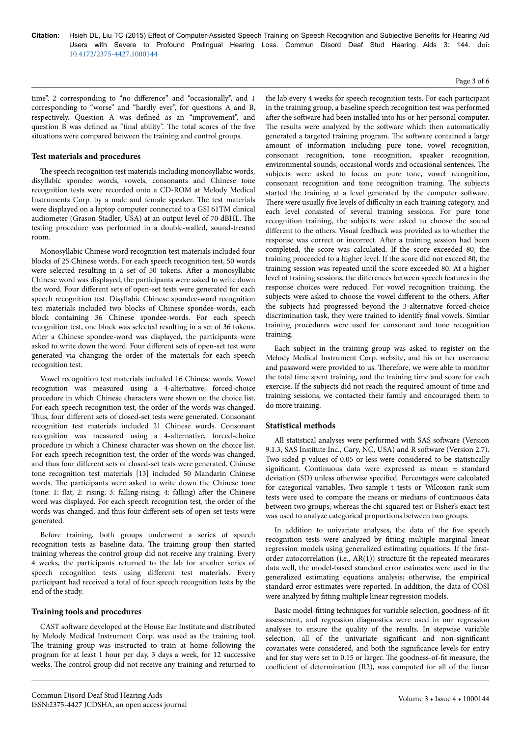#### Page 3 of 6

time", 2 corresponding to "no difference" and "occasionally", and 1 corresponding to "worse" and "hardly ever", for questions A and B, respectively. Question A was defined as an "improvement", and question B was defined as "final ability". The total scores of the five situations were compared between the training and control groups.

# **Test materials and procedures**

The speech recognition test materials including monosyllabic words, disyllabic spondee words, vowels, consonants and Chinese tone recognition tests were recorded onto a CD-ROM at Melody Medical Instruments Corp. by a male and female speaker. Нe test materials were displayed on a laptop computer connected to a GSI 61TM clinical audiometer (Grason-Stadler, USA) at an output level of 70 dBHL. Нe testing procedure was performed in a double-walled, sound-treated room.

Monosyllabic Chinese word recognition test materials included four blocks of 25 Chinese words. For each speech recognition test, 50 words were selected resulting in a set of 50 tokens. After a monosyllabic Chinese word was displayed, the participants were asked to write down the word. Four different sets of open-set tests were generated for each speech recognition test. Disyllabic Chinese spondee-word recognition test materials included two blocks of Chinese spondee-words, each block containing 36 Chinese spondee-words. For each speech recognition test, one block was selected resulting in a set of 36 tokens. After a Chinese spondee-word was displayed, the participants were asked to write down the word. Four different sets of open-set test were generated via changing the order of the materials for each speech recognition test.

Vowel recognition test materials included 16 Chinese words. Vowel recognition was measured using a 4-alternative, forced-choice procedure in which Chinese characters were shown on the choice list. For each speech recognition test, the order of the words was changed. Thus, four different sets of closed-set tests were generated. Consonant recognition test materials included 21 Chinese words. Consonant recognition was measured using a 4-alternative, forced-choice procedure in which a Chinese character was shown on the choice list. For each speech recognition test, the order of the words was changed, and thus four different sets of closed-set tests were generated. Chinese tone recognition test materials [13] included 50 Mandarin Chinese words. Нe participants were asked to write down the Chinese tone (tone: 1: flat; 2: rising; 3: falling-rising; 4: falling) after the Chinese word was displayed. For each speech recognition test, the order of the words was changed, and thus four different sets of open-set tests were generated.

Before training, both groups underwent a series of speech recognition tests as baseline data. Нe training group then started training whereas the control group did not receive any training. Every 4 weeks, the participants returned to the lab for another series of speech recognition tests using different test materials. Every participant had received a total of four speech recognition tests by the end of the study.

# **Training tools and procedures**

CAST software developed at the House Ear Institute and distributed by Melody Medical Instrument Corp. was used as the training tool. The training group was instructed to train at home following the program for at least 1 hour per day, 3 days a week, for 12 successive weeks. Нe control group did not receive any training and returned to the lab every 4 weeks for speech recognition tests. For each participant in the training group, a baseline speech recognition test was performed after the software had been installed into his or her personal computer. The results were analyzed by the software which then automatically generated a targeted training program. The software contained a large amount of information including pure tone, vowel recognition, consonant recognition, tone recognition, speaker recognition, environmental sounds, occasional words and occasional sentences. Нe subjects were asked to focus on pure tone, vowel recognition, consonant recognition and tone recognition training. Нe subjects started the training at a level generated by the computer software. There were usually five levels of difficulty in each training category, and each level consisted of several training sessions. For pure tone recognition training, the subjects were asked to choose the sound different to the others. Visual feedback was provided as to whether the response was correct or incorrect. After a training session had been completed, the score was calculated. If the score exceeded 80, the training proceeded to a higher level. If the score did not exceed 80, the training session was repeated until the score exceeded 80. At a higher level of training sessions, the differences between speech features in the response choices were reduced. For vowel recognition training, the subjects were asked to choose the vowel different to the others. After the subjects had progressed beyond the 3-alternative forced-choice discrimination task, they were trained to identify final vowels. Similar training procedures were used for consonant and tone recognition training.

Each subject in the training group was asked to register on the Melody Medical Instrument Corp. website, and his or her username and password were provided to us. Нerefore, we were able to monitor the total time spent training, and the training time and score for each exercise. If the subjects did not reach the required amount of time and training sessions, we contacted their family and encouraged them to do more training.

# **Statistical methods**

All statistical analyses were performed with SAS software (Version 9.1.3, SAS Institute Inc., Cary, NC, USA) and R software (Version 2.7). Two-sided p values of 0.05 or less were considered to be statistically significant. Continuous data were expressed as mean ± standard deviation (SD) unless otherwise specified. Percentages were calculated for categorical variables. Two-sample t tests or Wilcoxon rank-sum tests were used to compare the means or medians of continuous data between two groups, whereas the chi-squared test or Fisher's exact test was used to analyze categorical proportions between two groups.

In addition to univariate analyses, the data of the five speech recognition tests were analyzed by fitting multiple marginal linear regression models using generalized estimating equations. If the firstorder autocorrelation (i.e., AR(1)) structure fit the repeated measures data well, the model-based standard error estimates were used in the generalized estimating equations analysis; otherwise, the empirical standard error estimates were reported. In addition, the data of COSI were analyzed by fitting multiple linear regression models.

Basic model-fitting techniques for variable selection, goodness-of-fit assessment, and regression diagnostics were used in our regression analyses to ensure the quality of the results. In stepwise variable selection, all of the univariate significant and non-significant covariates were considered, and both the significance levels for entry and for stay were set to 0.15 or larger. Нe goodness-of-fit measure, the coefficient of determination (R2), was computed for all of the linear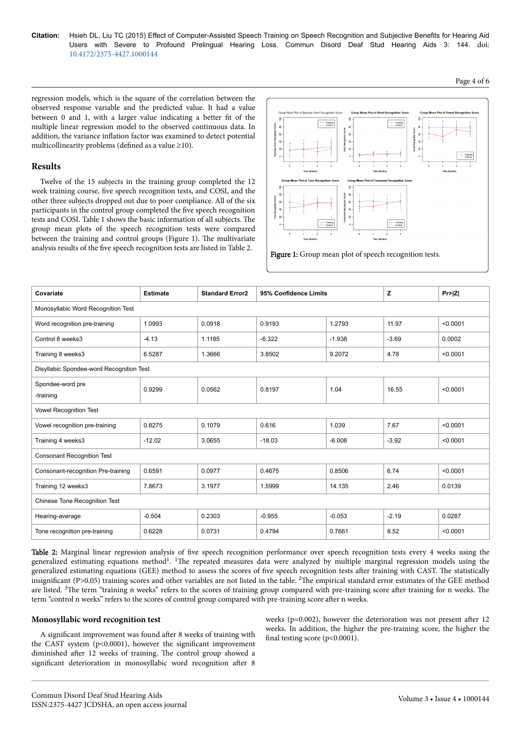Page 4 of 6

regression models, which is the square of the correlation between the observed response variable and the predicted value. It had a value between 0 and 1, with a larger value indicating a better fit of the multiple linear regression model to the observed continuous data. In addition, the variance inflation factor was examined to detect potential multicollinearity problems (defined as a value  $\geq$ 10).

# **Results**

Twelve of the 15 subjects in the training group completed the 12 week training course, five speech recognition tests, and COSI, and the other three subjects dropped out due to poor compliance. All of the six participants in the control group completed the five speech recognition tests and COSI. Table 1 shows the basic information of all subjects. Нe group mean plots of the speech recognition tests were compared between the training and control groups (Figure 1). Нe multivariate analysis results of the five speech recognition tests are listed in Table 2.





| Covariate                                | <b>Estimate</b> | <b>Standard Error2</b> | 95% Confidence Limits |          | z       | Pr >  Z  |  |  |  |  |  |
|------------------------------------------|-----------------|------------------------|-----------------------|----------|---------|----------|--|--|--|--|--|
| Monosyllabic Word Recognition Test       |                 |                        |                       |          |         |          |  |  |  |  |  |
| Word recognition pre-training            | 1.0993          | 0.0918                 | 0.9193                | 1.2793   | 11.97   | < 0.0001 |  |  |  |  |  |
| Control 8 weeks3                         | $-4.13$         | 1.1185                 | $-6.322$              | $-1.938$ | $-3.69$ | 0.0002   |  |  |  |  |  |
| Training 8 weeks3                        | 6.5287          | 1.3666                 | 3.8502                | 9.2072   | 4.78    | < 0.0001 |  |  |  |  |  |
| Disyllabic Spondee-word Recognition Test |                 |                        |                       |          |         |          |  |  |  |  |  |
| Spondee-word pre<br>-training            | 0.9299          | 0.0562                 | 0.8197                | 1.04     | 16.55   | < 0.0001 |  |  |  |  |  |
| <b>Vowel Recognition Test</b>            |                 |                        |                       |          |         |          |  |  |  |  |  |
| Vowel recognition pre-training           | 0.8275          | 0.1079                 | 0.616                 | 1.039    | 7.67    | < 0.0001 |  |  |  |  |  |
| Training 4 weeks3                        | $-12.02$        | 3.0655                 | $-18.03$              | $-6.008$ | $-3.92$ | < 0.0001 |  |  |  |  |  |
| <b>Consonant Recognition Test</b>        |                 |                        |                       |          |         |          |  |  |  |  |  |
| Consonant-recognition Pre-training       | 0.6591          | 0.0977                 | 0.4675                | 0.8506   | 6.74    | < 0.0001 |  |  |  |  |  |
| Training 12 weeks3                       | 7.8673          | 3.1977                 | 1.5999                | 14.135   | 2.46    | 0.0139   |  |  |  |  |  |
| Chinese Tone Recognition Test            |                 |                        |                       |          |         |          |  |  |  |  |  |
| Hearing-average                          | $-0.504$        | 0.2303                 | $-0.955$              | $-0.053$ | $-2.19$ | 0.0287   |  |  |  |  |  |
| Tone recognition pre-training            | 0.6228          | 0.0731                 | 0.4794                | 0.7661   | 8.52    | < 0.0001 |  |  |  |  |  |

Table 2: Marginal linear regression analysis of five speech recognition performance over speech recognition tests every 4 weeks using the generalized estimating equations method<sup>1</sup>. <sup>1</sup>The repeated measures data were analyzed by multiple marginal regression models using the generalized estimating equations (GEE) method to assess the scores of five speech recognition tests after training with CAST. The statistically insignificant (P>0.05) training scores and other variables are not listed in the table. <sup>2</sup>The empirical standard error estimates of the GEE method are listed. <sup>3</sup>The term "training n weeks" refers to the scores of training group compared with pre-training score after training for n weeks. The term "control n weeks" refers to the scores of control group compared with pre-training score after n weeks.

# **Monosyllabic word recognition test**

A significant improvement was found after 8 weeks of training with the CAST system (p<0.0001), however the significant improvement diminished after 12 weeks of training. The control group showed a significant deterioration in monosyllabic word recognition after 8

weeks ( $p=0.002$ ), however the deterioration was not present after 12 weeks. In addition, the higher the pre-training score, the higher the final testing score (p<0.0001).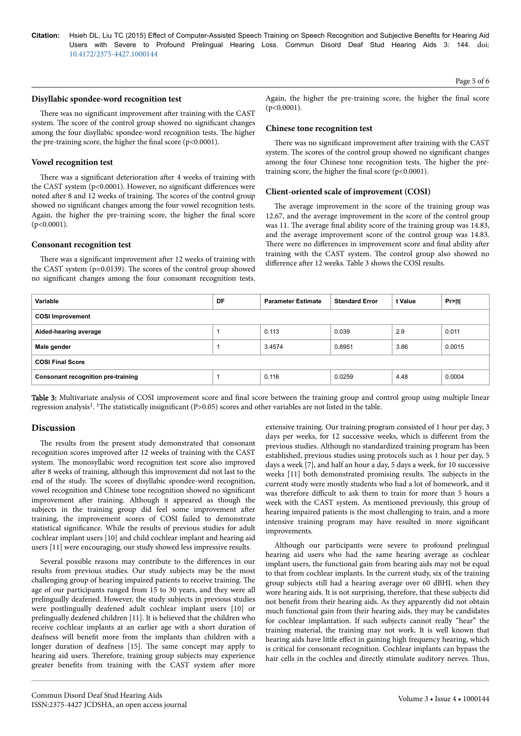Commun Disord Deaf Stud Hearing Aids ISSN:2375-4427 JCDSHA, an open access journal

**Citation:** Hsieh DL, Liu TC (2015) Effect of Computer-Assisted Speech Training on Speech Recognition and Subjective Benefits for Hearing Aid Users with Severe to Profound Prelingual Hearing Loss. Commun Disord Deaf Stud Hearing Aids 3: 144. doi: 10.4172/2375-4427.1000144

# **Disyllabic spondee-word recognition test**

There was no significant improvement after training with the CAST system. Нe score of the control group showed no significant changes among the four disyllabic spondee-word recognition tests. Нe higher the pre-training score, the higher the final score (p<0.0001).

# **Vowel recognition test**

There was a significant deterioration after 4 weeks of training with the CAST system (p<0.0001). However, no significant differences were noted after 8 and 12 weeks of training. The scores of the control group showed no significant changes among the four vowel recognition tests. Again, the higher the pre-training score, the higher the final score  $(p<0.0001)$ .

# **Consonant recognition test**

There was a significant improvement after 12 weeks of training with the CAST system (p=0.0139). Нe scores of the control group showed no significant changes among the four consonant recognition tests. Again, the higher the pre-training score, the higher the final score  $(p<0.0001)$ .

# **Chinese tone recognition test**

There was no significant improvement after training with the CAST system. Нe scores of the control group showed no significant changes among the four Chinese tone recognition tests. Нe higher the pretraining score, the higher the final score (p<0.0001).

# **Client-oriented scale of improvement (COSI)**

The average improvement in the score of the training group was 12.67, and the average improvement in the score of the control group was 11. Нe average final ability score of the training group was 14.83, and the average improvement score of the control group was 14.83. There were no differences in improvement score and final ability after training with the CAST system. Нe control group also showed no difference after 12 weeks. Table 3 shows the COSI results.

| Variable                                  | DF | <b>Parameter Estimate</b> | <b>Standard Error</b> | t Value | Pr> t  |  |  |  |
|-------------------------------------------|----|---------------------------|-----------------------|---------|--------|--|--|--|
| <b>COSI Improvement</b>                   |    |                           |                       |         |        |  |  |  |
| Aided-hearing average                     |    | 0.113                     | 0.039                 | 2.9     | 0.011  |  |  |  |
| Male gender                               |    | 3.4574                    | 0.8951                | 3.86    | 0.0015 |  |  |  |
| <b>COSI Final Score</b>                   |    |                           |                       |         |        |  |  |  |
| <b>Consonant recognition pre-training</b> |    | 0.116                     | 0.0259                | 4.48    | 0.0004 |  |  |  |

Table 3: Multivariate analysis of COSI improvement score and final score between the training group and control group using multiple linear regression analysis<sup>1</sup>. <sup>1</sup>The statistically insignificant (P>0.05) scores and other variables are not listed in the table.

# **Discussion**

The results from the present study demonstrated that consonant recognition scores improved after 12 weeks of training with the CAST system. Нe monosyllabic word recognition test score also improved after 8 weeks of training, although this improvement did not last to the end of the study. Нe scores of disyllabic spondee-word recognition, vowel recognition and Chinese tone recognition showed no significant improvement after training. Although it appeared as though the subjects in the training group did feel some improvement after training, the improvement scores of COSI failed to demonstrate statistical significance. While the results of previous studies for adult cochlear implant users [10] and child cochlear implant and hearing aid users [11] were encouraging, our study showed less impressive results.

Several possible reasons may contribute to the differences in our results from previous studies. Our study subjects may be the most challenging group of hearing impaired patients to receive training. Нe age of our participants ranged from 15 to 30 years, and they were all prelingually deafened. However, the study subjects in previous studies were postlingually deafened adult cochlear implant users [10] or prelingually deafened children [11]. It is believed that the children who receive cochlear implants at an earlier age with a short duration of deafness will benefit more from the implants than children with a

extensive training. Our training program consisted of 1 hour per day, 3 days per weeks, for 12 successive weeks, which is different from the previous studies. Although no standardized training program has been established, previous studies using protocols such as 1 hour per day, 5 days a week [7], and half an hour a day, 5 days a week, for 10 successive weeks [11] both demonstrated promising results. Нe subjects in the current study were mostly students who had a lot of homework, and it was therefore difficult to ask them to train for more than 5 hours a week with the CAST system. As mentioned previously, this group of hearing impaired patients is the most challenging to train, and a more intensive training program may have resulted in more significant improvements.

Although our participants were severe to profound prelingual hearing aid users who had the same hearing average as cochlear implant users, the functional gain from hearing aids may not be equal to that from cochlear implants. In the current study, six of the training group subjects still had a hearing average over 60 dBHL when they wore hearing aids. It is not surprising, therefore, that these subjects did not benefit from their hearing aids. As they apparently did not obtain much functional gain from their hearing aids, they may be candidates for cochlear implantation. If such subjects cannot really "hear" the training material, the training may not work. It is well known that hearing aids have little effect in gaining high frequency hearing, which is critical for consonant recognition. Cochlear implants can bypass the hair cells in the cochlea and directly stimulate auditory nerves. Нus,

Page 5 of 6